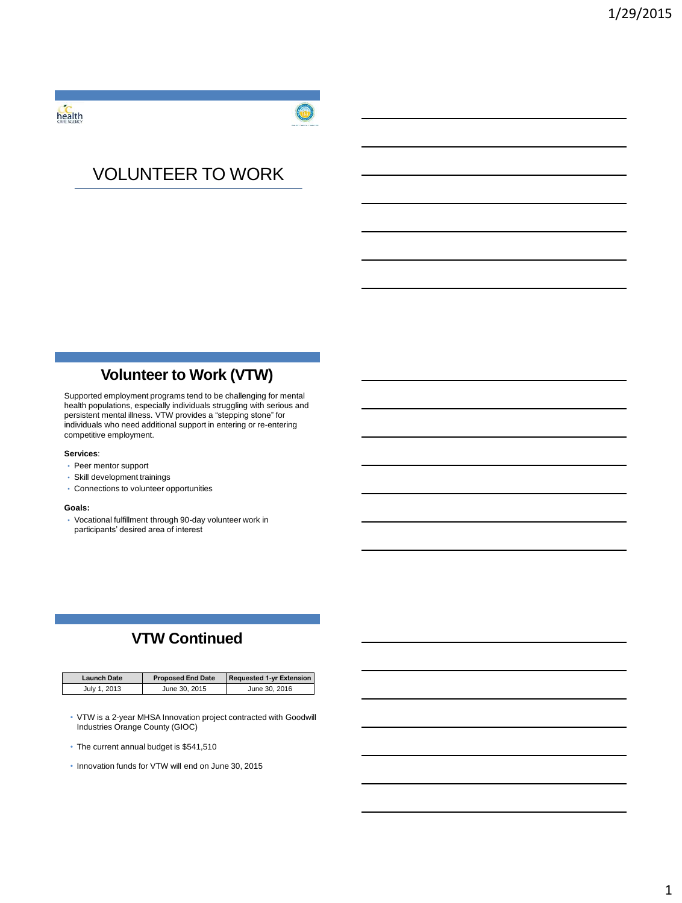health



# VOLUNTEER TO WORK

## **Volunteer to Work (VTW)**

Supported employment programs tend to be challenging for mental health populations, especially individuals struggling with serious and persistent mental illness. VTW provides a "stepping stone" for individuals who need additional support in entering or re-entering competitive employment.

#### **Services**:

- Peer mentor support
- Skill development trainings
- Connections to volunteer opportunities

#### **Goals:**

• Vocational fulfillment through 90-day volunteer work in participants' desired area of interest

# **VTW Continued**

| Launch Date  | <b>Proposed End Date</b> | <b>Requested 1-yr Extension</b> |  |
|--------------|--------------------------|---------------------------------|--|
| July 1, 2013 | June 30, 2015            | June 30, 2016                   |  |

- VTW is a 2-year MHSA Innovation project contracted with Goodwill Industries Orange County (GIOC)
- The current annual budget is \$541,510
- Innovation funds for VTW will end on June 30, 2015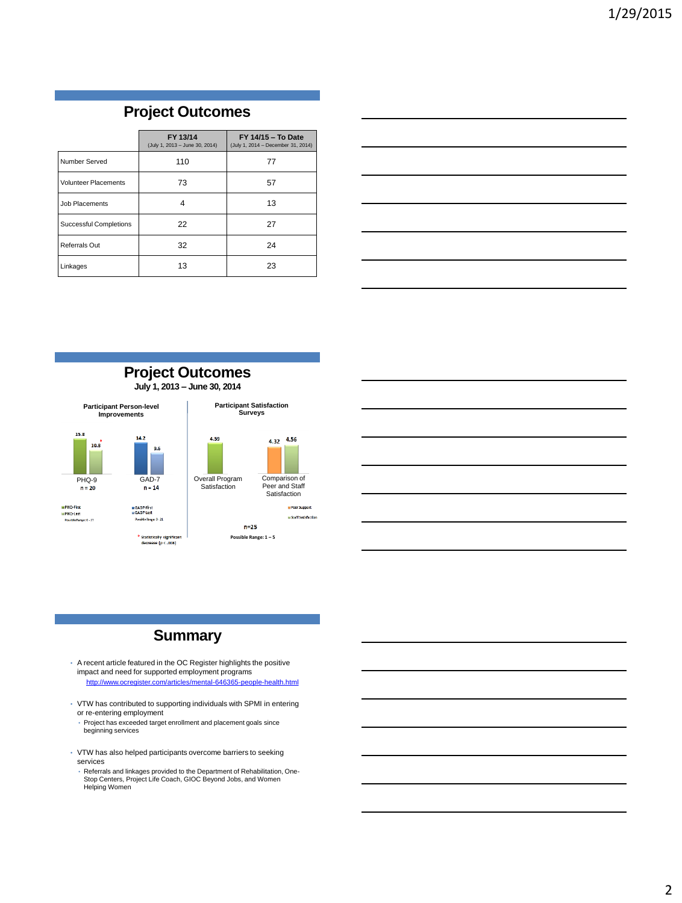### **Project Outcomes**

|                             | FY 13/14<br>(July 1, 2013 - June 30, 2014) | FY 14/15 - To Date<br>(July 1, 2014 - December 31, 2014) |  |
|-----------------------------|--------------------------------------------|----------------------------------------------------------|--|
| Number Served               | 110                                        | 77                                                       |  |
| <b>Volunteer Placements</b> | 73                                         | 57                                                       |  |
| Job Placements              |                                            | 13                                                       |  |
| Successful Completions      | 22                                         | 27                                                       |  |
| Referrals Out               | 32                                         | 24                                                       |  |
| Linkages                    | 13                                         | 23                                                       |  |



# Comparison of Peer and Staff Satisfaction **H** Peer Support **M** Staff Satisfaction

### **Summary**

- A recent article featured in the OC Register highlights the positive impact and need for supported employment programs <http://www.ocregister.com/articles/mental-646365-people-health.html>
- VTW has contributed to supporting individuals with SPMI in entering or re-entering employment
- Project has exceeded target enrollment and placement goals since beginning services
- VTW has also helped participants overcome barriers to seeking services
	- Referrals and linkages provided to the Department of Rehabilitation, One-Stop Centers, Project Life Coach, GIOC Beyond Jobs, and Women Helping Women